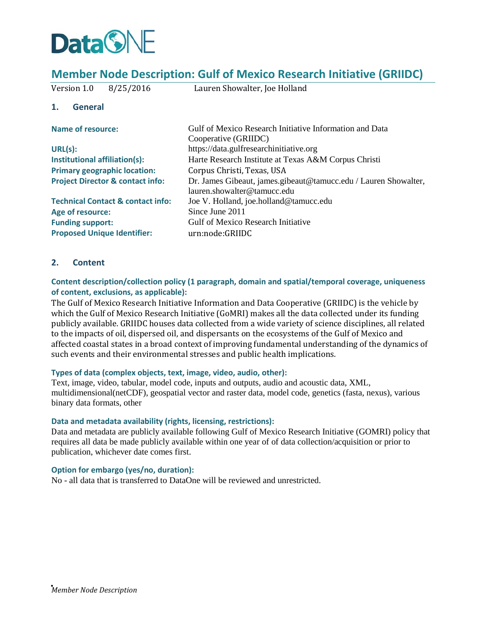

# **Member Node Description: Gulf of Mexico Research Initiative (GRIIDC)**

| Version 1.0<br>8/25/2016                     |                                                                 |
|----------------------------------------------|-----------------------------------------------------------------|
|                                              | Lauren Showalter, Joe Holland                                   |
| <b>General</b><br>1.                         |                                                                 |
| <b>Name of resource:</b>                     | Gulf of Mexico Research Initiative Information and Data         |
|                                              | Cooperative (GRIIDC)                                            |
| URL(s):                                      | https://data.gulfresearchinitiative.org                         |
| Institutional affiliation(s):                | Harte Research Institute at Texas A&M Corpus Christi            |
| <b>Primary geographic location:</b>          | Corpus Christi, Texas, USA                                      |
| <b>Project Director &amp; contact info:</b>  | Dr. James Gibeaut, james.gibeaut@tamucc.edu / Lauren Showalter, |
|                                              | lauren.showalter@tamucc.edu                                     |
| <b>Technical Contact &amp; contact info:</b> | Joe V. Holland, joe.holland@tamucc.edu                          |
| Age of resource:                             | Since June 2011                                                 |
| <b>Funding support:</b>                      | Gulf of Mexico Research Initiative                              |
| <b>Proposed Unique Identifier:</b>           | urn:node:GRIIDC                                                 |

## **2. Content**

**Content description/collection policy (1 paragraph, domain and spatial/temporal coverage, uniqueness of content, exclusions, as applicable):** 

The Gulf of Mexico Research Initiative Information and Data Cooperative (GRIIDC) is the vehicle by which the Gulf of Mexico Research Initiative (GoMRI) makes all the data collected under its funding publicly available. GRIIDC houses data collected from a wide variety of science disciplines, all related to the impacts of oil, dispersed oil, and dispersants on the ecosystems of the Gulf of Mexico and affected coastal states in a broad context of improving fundamental understanding of the dynamics of such events and their environmental stresses and public health implications.

#### **Types of data (complex objects, text, image, video, audio, other):**

Text, image, video, tabular, model code, inputs and outputs, audio and acoustic data, XML, multidimensional(netCDF), geospatial vector and raster data, model code, genetics (fasta, nexus), various binary data formats, other

#### **Data and metadata availability (rights, licensing, restrictions):**

Data and metadata are publicly available following Gulf of Mexico Research Initiative (GOMRI) policy that requires all data be made publicly available within one year of of data collection/acquisition or prior to publication, whichever date comes first.

#### **Option for embargo (yes/no, duration):**

No - all data that is transferred to DataOne will be reviewed and unrestricted.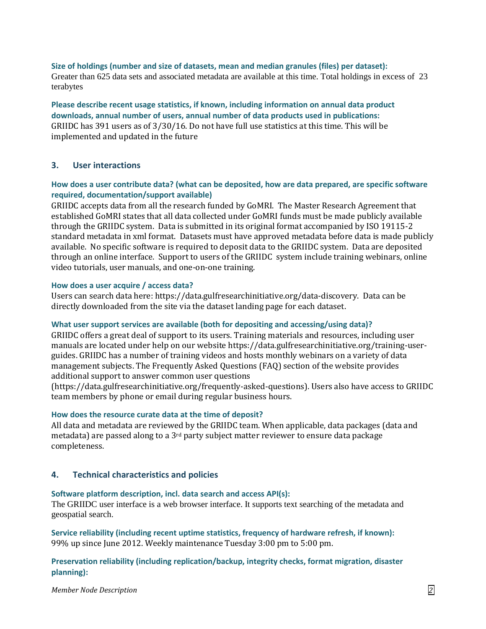**Size of holdings (number and size of datasets, mean and median granules (files) per dataset):**  Greater than 625 data sets and associated metadata are available at this time. Total holdings in excess of 23 terabytes

**Please describe recent usage statistics, if known, including information on annual data product downloads, annual number of users, annual number of data products used in publications:**  GRIIDC has 391 users as of 3/30/16. Do not have full use statistics at this time. This will be implemented and updated in the future

#### **3. User interactions**

## **How does a user contribute data? (what can be deposited, how are data prepared, are specific software required, documentation/support available)**

GRIIDC accepts data from all the research funded by GoMRI. The Master Research Agreement that established GoMRI states that all data collected under GoMRI funds must be made publicly available through the GRIIDC system. Data is submitted in its original format accompanied by ISO 19115-2 standard metadata in xml format. Datasets must have approved metadata before data is made publicly available. No specific software is required to deposit data to the GRIIDC system. Data are deposited through an online interface. Support to users of the GRIIDC system include training webinars, online video tutorials, user manuals, and one-on-one training.

#### **How does a user acquire / access data?**

Users can search data here: https://data.gulfresearchinitiative.org/data-discovery. Data can be directly downloaded from the site via the dataset landing page for each dataset.

#### **What user support services are available (both for depositing and accessing/using data)?**

GRIIDC offers a great deal of support to its users. Training materials and resources, including user manuals are located under help on our website https://data.gulfresearchinitiative.org/training-userguides. GRIIDC has a number of training videos and hosts monthly webinars on a variety of data management subjects. The Frequently Asked Questions (FAQ) section of the website provides additional support to answer common user questions

(https://data.gulfresearchinitiative.org/frequently-asked-questions). Users also have access to GRIIDC team members by phone or email during regular business hours.

#### **How does the resource curate data at the time of deposit?**

All data and metadata are reviewed by the GRIIDC team. When applicable, data packages (data and metadata) are passed along to a  $3<sup>rd</sup>$  party subject matter reviewer to ensure data package completeness.

#### **4. Technical characteristics and policies**

#### **Software platform description, incl. data search and access API(s):**

The GRIIDC user interface is a web browser interface. It supports text searching of the metadata and geospatial search.

**Service reliability (including recent uptime statistics, frequency of hardware refresh, if known):**  99% up since June 2012. Weekly maintenance Tuesday 3:00 pm to 5:00 pm.

**Preservation reliability (including replication/backup, integrity checks, format migration, disaster planning):**